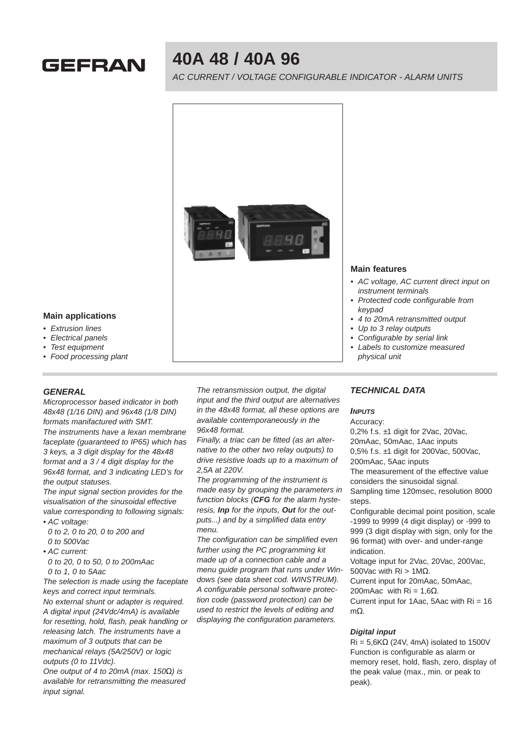

# **40A 48 / 40A 96**

AC CURRENT / VOLTAGE CONFIGURABLE INDICATOR - ALARM UNITS



## **Main features**

- AC voltage, AC current direct input on instrument terminals
- Protected code configurable from keypad
- 4 to 20mA retransmitted output
- Up to 3 relay outputs
- Configurable by serial link
- Labels to customize measured physical unit

#### **Main applications**

- Extrusion lines
- Electrical panels
- Test equipment
- Food processing plant

## **GENERAL**

Microprocessor based indicator in both 48x48 (1/16 DIN) and 96x48 (1/8 DIN) formats manifactured with SMT. The instruments have a lexan membrane faceplate (guaranteed to IP65) which has 3 keys, a 3 digit display for the 48x48 format and a 3 / 4 digit display for the 96x48 format, and 3 indicating LED's for the output statuses.

The input signal section provides for the visualisation of the sinusoidal effective value corresponding to following signals:

• AC voltage:

0 to 2, 0 to 20, 0 to 200 and 0 to 500Vac

• AC current:

0 to 20, 0 to 50, 0 to 200mAac 0 to 1, 0 to 5Aac

The selection is made using the faceplate keys and correct input terminals. No external shunt or adapter is required. A digital input (24Vdc/4mA) is available for resetting, hold, flash, peak handling or releasing latch. The instruments have a maximum of 3 outputs that can be mechanical relays (5A/250V) or logic outputs (0 to 11Vdc).

One output of 4 to 20mA (max.  $150\Omega$ ) is available for retransmitting the measured input signal.

The retransmission output, the digital input and the third output are alternatives in the 48x48 format, all these options are available contemporaneously in the 96x48 format.

Finally, a triac can be fitted (as an alternative to the other two relay outputs) to drive resistive loads up to a maximum of 2,5A at 220V.

The programming of the instrument is made easy by grouping the parameters in function blocks (**CFG** for the alarm hysteresis, **Inp** for the inputs, **Out** for the outputs...) and by a simplified data entry menu.

The configuration can be simplified even further using the PC programming kit made up of a connection cable and a menu guide program that runs under Windows (see data sheet cod. WINSTRUM). A configurable personal software protection code (password protection) can be used to restrict the levels of editing and displaying the configuration parameters.

## **TECHNICAL DATA**

#### **INPUTS**

Accuracy:

0,2% f.s. ±1 digit for 2Vac, 20Vac, 20mAac, 50mAac, 1Aac inputs 0,5% f.s. ±1 digit for 200Vac, 500Vac, 200mAac, 5Aac inputs

The measurement of the effective value considers the sinusoidal signal.

Sampling time 120msec, resolution 8000 steps.

Configurable decimal point position, scale -1999 to 9999 (4 digit display) or -999 to 999 (3 digit display with sign, only for the 96 format) with over- and under-range indication.

Voltage input for 2Vac, 20Vac, 200Vac, 500Vac with  $\text{Ri} > 1 \text{MΩ}$ .

Current input for 20mAac, 50mAac,

200mAac with  $Ri = 1,6Ω$ .

Current input for 1Aac, 5Aac with Ri = 16 mΩ.

#### **Digital input**

 $\text{Ri} = 5,6\text{K}\Omega$  (24V, 4mA) isolated to 1500V Function is configurable as alarm or memory reset, hold, flash, zero, display of the peak value (max., min. or peak to peak).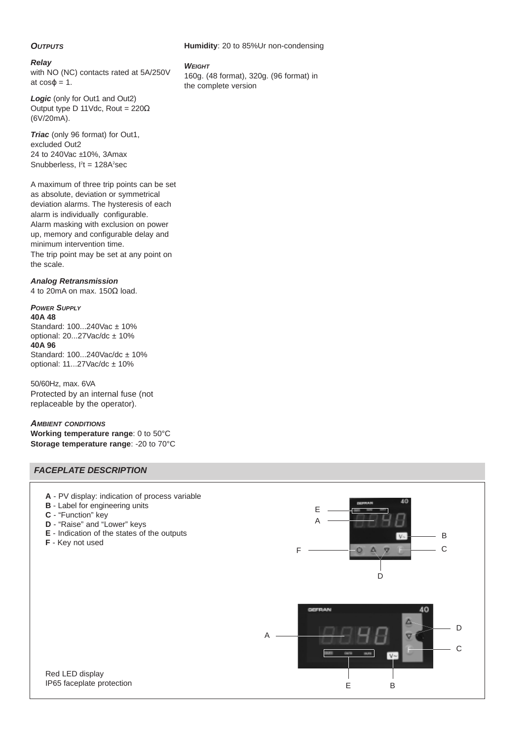#### **Humidity**: 20 to 85%Ur non-condensing

## **OUTPUTS**

#### **Relay**

with NO (NC) contacts rated at 5A/250V at  $cos\varphi = 1$ .

Logic (only for Out1 and Out2) Output type D 11Vdc, Rout =  $220\Omega$ (6V/20mA).

**Triac** (only 96 format) for Out1, excluded Out2 24 to 240Vac ±10%, 3Amax Snubberless,  $I<sup>2</sup>t = 128A<sup>2</sup>sec$ 

A maximum of three trip points can be set as absolute, deviation or symmetrical deviation alarms. The hysteresis of each alarm is individually configurable. Alarm masking with exclusion on power up, memory and configurable delay and minimum intervention time. The trip point may be set at any point on the scale.

### **Analog Retransmission**

4 to 20mA on max. 150Ω load.

## **POWER SUPPLY**

**40A 48** Standard: 100...240Vac ± 10% optional: 20...27Vac/dc ± 10% **40A 96** Standard: 100...240Vac/dc ± 10% optional: 11...27Vac/dc ± 10%

50/60Hz, max. 6VA Protected by an internal fuse (not replaceable by the operator).

## **AMBIENT CONDITIONS**

**Working temperature range**: 0 to 50°C **Storage temperature range**: -20 to 70°C

## **FACEPLATE DESCRIPTION**

- **A** PV display: indication of process variable
- **B** Label for engineering units
- **C** "Function" key
- **D** "Raise" and "Lower" keys
- **E** Indication of the states of the outputs
- **F** Key not used



Red LED display IP65 faceplate protection

#### **WEIGHT**

160g. (48 format), 320g. (96 format) in the complete version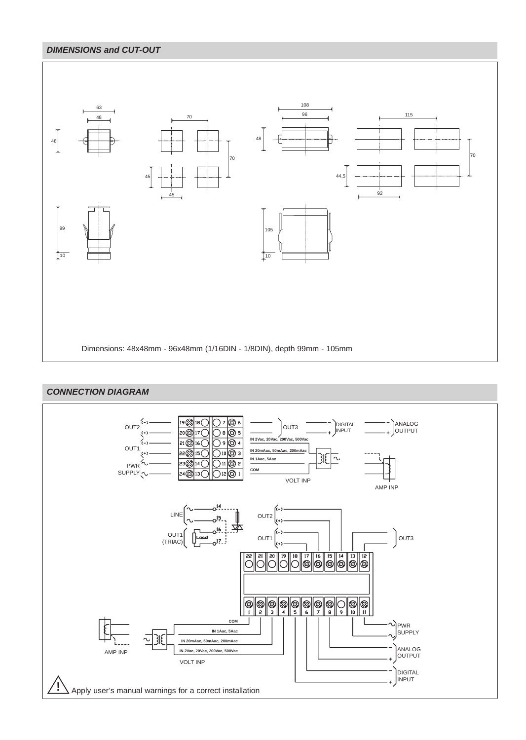## **DIMENSIONS and CUT-OUT**